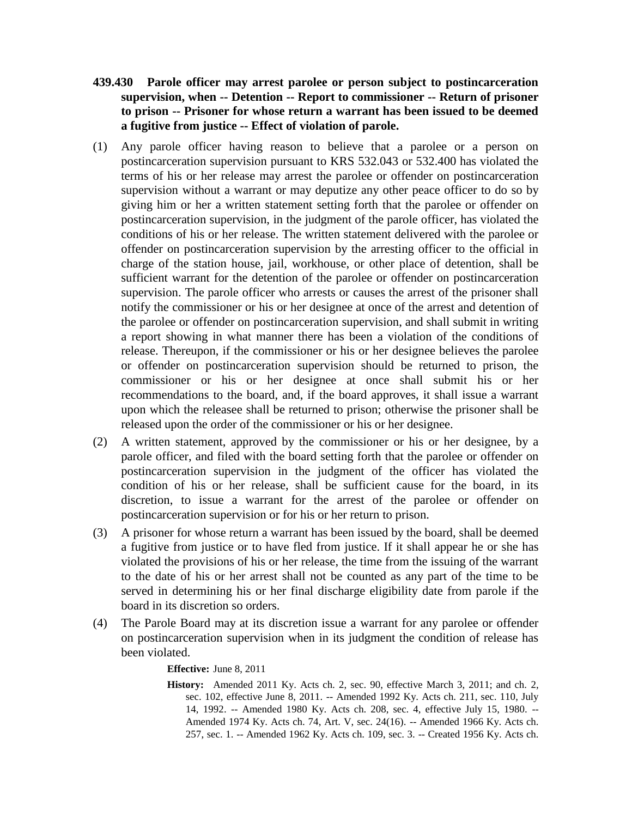- **439.430 Parole officer may arrest parolee or person subject to postincarceration supervision, when -- Detention -- Report to commissioner -- Return of prisoner to prison -- Prisoner for whose return a warrant has been issued to be deemed a fugitive from justice -- Effect of violation of parole.**
- (1) Any parole officer having reason to believe that a parolee or a person on postincarceration supervision pursuant to KRS 532.043 or 532.400 has violated the terms of his or her release may arrest the parolee or offender on postincarceration supervision without a warrant or may deputize any other peace officer to do so by giving him or her a written statement setting forth that the parolee or offender on postincarceration supervision, in the judgment of the parole officer, has violated the conditions of his or her release. The written statement delivered with the parolee or offender on postincarceration supervision by the arresting officer to the official in charge of the station house, jail, workhouse, or other place of detention, shall be sufficient warrant for the detention of the parolee or offender on postincarceration supervision. The parole officer who arrests or causes the arrest of the prisoner shall notify the commissioner or his or her designee at once of the arrest and detention of the parolee or offender on postincarceration supervision, and shall submit in writing a report showing in what manner there has been a violation of the conditions of release. Thereupon, if the commissioner or his or her designee believes the parolee or offender on postincarceration supervision should be returned to prison, the commissioner or his or her designee at once shall submit his or her recommendations to the board, and, if the board approves, it shall issue a warrant upon which the releasee shall be returned to prison; otherwise the prisoner shall be released upon the order of the commissioner or his or her designee.
- (2) A written statement, approved by the commissioner or his or her designee, by a parole officer, and filed with the board setting forth that the parolee or offender on postincarceration supervision in the judgment of the officer has violated the condition of his or her release, shall be sufficient cause for the board, in its discretion, to issue a warrant for the arrest of the parolee or offender on postincarceration supervision or for his or her return to prison.
- (3) A prisoner for whose return a warrant has been issued by the board, shall be deemed a fugitive from justice or to have fled from justice. If it shall appear he or she has violated the provisions of his or her release, the time from the issuing of the warrant to the date of his or her arrest shall not be counted as any part of the time to be served in determining his or her final discharge eligibility date from parole if the board in its discretion so orders.
- (4) The Parole Board may at its discretion issue a warrant for any parolee or offender on postincarceration supervision when in its judgment the condition of release has been violated.

## **Effective:** June 8, 2011

**History:** Amended 2011 Ky. Acts ch. 2, sec. 90, effective March 3, 2011; and ch. 2, sec. 102, effective June 8, 2011. -- Amended 1992 Ky. Acts ch. 211, sec. 110, July 14, 1992. -- Amended 1980 Ky. Acts ch. 208, sec. 4, effective July 15, 1980. -- Amended 1974 Ky. Acts ch. 74, Art. V, sec. 24(16). -- Amended 1966 Ky. Acts ch. 257, sec. 1. -- Amended 1962 Ky. Acts ch. 109, sec. 3. -- Created 1956 Ky. Acts ch.